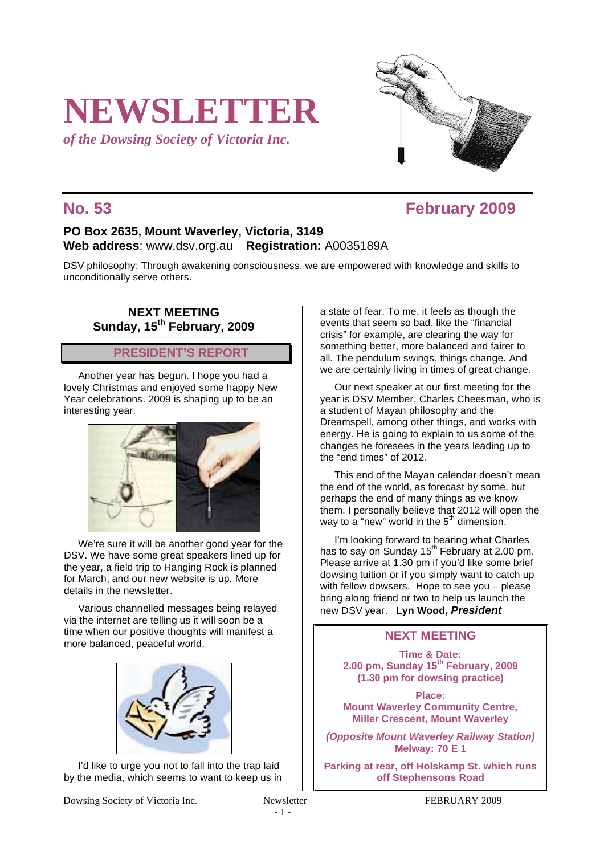# **NEWSLETTER**

*of the Dowsing Society of Victoria Inc.*

## **No. 53 February 2009**

### **PO Box 2635, Mount Waverley, Victoria, 3149 Web address**: www.dsv.org.au **Registration:** A0035189A

DSV philosophy: Through awakening consciousness, we are empowered with knowledge and skills to unconditionally serve others.

#### **NEXT MEETING Sunday, 15th February, 2009**

### **PRESIDENT'S REPORT**

Another year has begun. I hope you had a lovely Christmas and enjoyed some happy New Year celebrations. 2009 is shaping up to be an interesting year.



We're sure it will be another good year for the DSV. We have some great speakers lined up for the year, a field trip to Hanging Rock is planned for March, and our new website is up. More details in the newsletter.

Various channelled messages being relayed via the internet are telling us it will soon be a time when our positive thoughts will manifest a more balanced, peaceful world.



I'd like to urge you not to fall into the trap laid by the media, which seems to want to keep us in

Dowsing Society of Victoria Inc. Newsletter FEBRUARY 2009

- 1 -

a state of fear. To me, it feels as though the events that seem so bad, like the "financial crisis" for example, are clearing the way for something better, more balanced and fairer to all. The pendulum swings, things change. And we are certainly living in times of great change.

Our next speaker at our first meeting for the year is DSV Member, Charles Cheesman, who is a student of Mayan philosophy and the Dreamspell, among other things, and works with energy. He is going to explain to us some of the changes he foresees in the years leading up to the "end times" of 2012.

This end of the Mayan calendar doesn't mean the end of the world, as forecast by some, but perhaps the end of many things as we know them. I personally believe that 2012 will open the way to a "new" world in the  $5<sup>th</sup>$  dimension.

I'm looking forward to hearing what Charles has to say on Sunday  $15^{th}$  February at 2.00 pm. Please arrive at 1.30 pm if you'd like some brief dowsing tuition or if you simply want to catch up with fellow dowsers. Hope to see you – please bring along friend or two to help us launch the new DSV year. **Lyn Wood,** *President*

#### **NEXT MEETING**

**Time & Date: 2.00 pm, Sunday 15th February, 2009 (1.30 pm for dowsing practice)**

**Place: Mount Waverley Community Centre, Miller Crescent, Mount Waverley**

*(Opposite Mount Waverley Railway Station)* **Melway: 70 E 1**

**Parking at rear, off Holskamp St. which runs off Stephensons Road**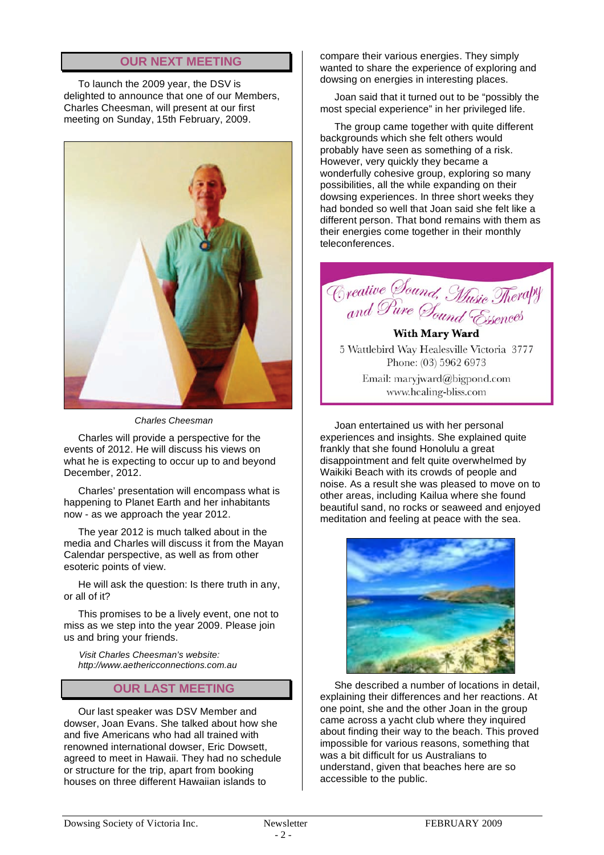### **OUR NEXT MEETING**

To launch the 2009 year, the DSV is delighted to announce that one of our Members, Charles Cheesman, will present at our first meeting on Sunday, 15th February, 2009.



*Charles Cheesman*

Charles will provide a perspective for the events of 2012. He will discuss his views on what he is expecting to occur up to and beyond December, 2012.

Charles' presentation will encompass what is happening to Planet Earth and her inhabitants now - as we approach the year 2012.

The year 2012 is much talked about in the media and Charles will discuss it from the Mayan Calendar perspective, as well as from other esoteric points of view.

He will ask the question: Is there truth in any, or all of it?

This promises to be a lively event, one not to miss as we step into the year 2009. Please join us and bring your friends.

*Visit Charles Cheesman's website: http://www.aethericconnections.com.au*

#### **OUR LAST MEETING**

Our last speaker was DSV Member and dowser, Joan Evans. She talked about how she and five Americans who had all trained with renowned international dowser, Eric Dowsett, agreed to meet in Hawaii. They had no schedule or structure for the trip, apart from booking houses on three different Hawaiian islands to

compare their various energies. They simply wanted to share the experience of exploring and dowsing on energies in interesting places.

Joan said that it turned out to be "possibly the most special experience" in her privileged life.

The group came together with quite different backgrounds which she felt others would probably have seen as something of a risk. However, very quickly they became a wonderfully cohesive group, exploring so many possibilities, all the while expanding on their dowsing experiences. In three short weeks they had bonded so well that Joan said she felt like a different person. That bond remains with them as their energies come together in their monthly teleconferences.



**With Mary Ward** 5 Wattlebird Way Healesville Victoria 3777 Phone: (03) 5962 6973 Email: maryjward@bigpond.com www.healing-bliss.com

Joan entertained us with her personal experiences and insights. She explained quite frankly that she found Honolulu a great disappointment and felt quite overwhelmed by Waikiki Beach with its crowds of people and noise. As a result she was pleased to move on to other areas, including Kailua where she found beautiful sand, no rocks or seaweed and enjoyed meditation and feeling at peace with the sea.



She described a number of locations in detail, explaining their differences and her reactions. At one point, she and the other Joan in the group came across a yacht club where they inquired about finding their way to the beach. This proved impossible for various reasons, something that was a bit difficult for us Australians to understand, given that beaches here are so accessible to the public.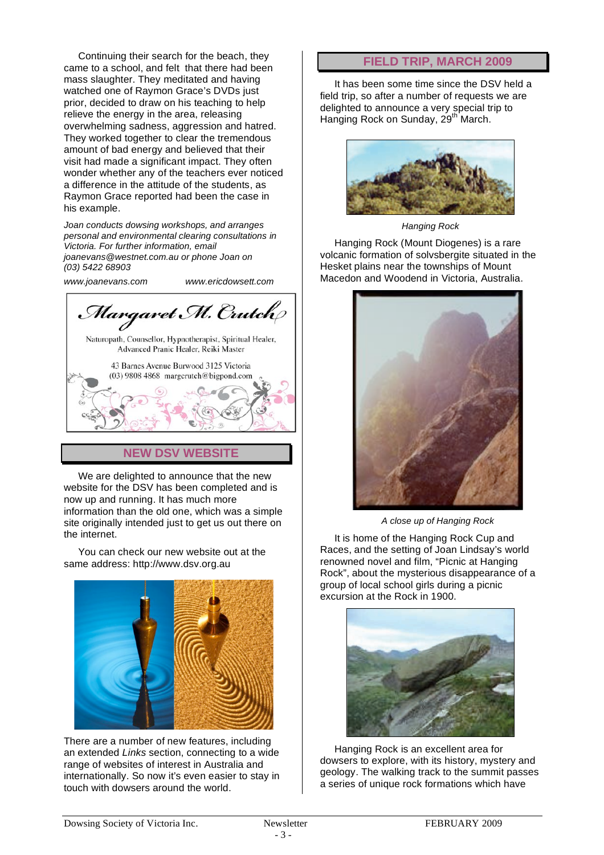Continuing their search for the beach, they came to a school, and felt that there had been mass slaughter. They meditated and having watched one of Raymon Grace's DVDs just prior, decided to draw on his teaching to help relieve the energy in the area, releasing overwhelming sadness, aggression and hatred. They worked together to clear the tremendous amount of bad energy and believed that their visit had made a significant impact. They often wonder whether any of the teachers ever noticed a difference in the attitude of the students, as Raymon Grace reported had been the case in his example.

*Joan conducts dowsing workshops, and arranges personal and environmental clearing consultations in Victoria. For further information, email joanevans@westnet.com.au or phone Joan on (03) 5422 68903*

*www.joanevans.com www.ericdowsett.com*

Margaret M. Crutch Naturopath, Counsellor, Hypnotherapist, Spiritual Healer, Advanced Pranic Healer, Reiki Master 43 Barnes Avenue Burwood 3125 Victoria  $(03)$  9808 4868 margcrutch@bigpond.com

#### **NEW DSV WEBSITE**

We are delighted to announce that the new website for the DSV has been completed and is now up and running. It has much more information than the old one, which was a simple site originally intended just to get us out there on the internet.

You can check our new website out at the same address: http://www.dsv.org.au



There are a number of new features, including an extended *Links* section, connecting to a wide range of websites of interest in Australia and internationally. So now it's even easier to stay in touch with dowsers around the world.

#### **FIELD TRIP, MARCH 2009**

It has been some time since the DSV held a field trip, so after a number of requests we are delighted to announce a very special trip to Hanging Rock on Sunday, 29<sup>th</sup> March.



*Hanging Rock*

Hanging Rock (Mount Diogenes) is a rare volcanic formation of solvsbergite situated in the Hesket plains near the townships of Mount Macedon and Woodend in Victoria, Australia.



*A close up of Hanging Rock*

It is home of the Hanging Rock Cup and Races, and the setting of Joan Lindsay's world renowned novel and film, "Picnic at Hanging Rock", about the mysterious disappearance of a group of local school girls during a picnic excursion at the Rock in 1900.



Hanging Rock is an excellent area for dowsers to explore, with its history, mystery and geology. The walking track to the summit passes a series of unique rock formations which have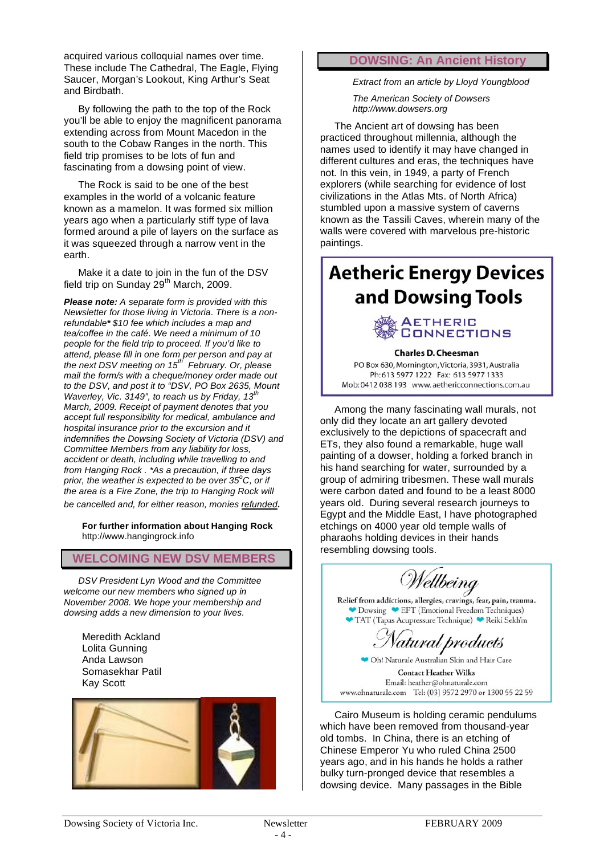acquired various colloquial names over time. These include The Cathedral, The Eagle, Flying Saucer, Morgan's Lookout, King Arthur's Seat and Birdbath.

By following the path to the top of the Rock you'll be able to enjoy the magnificent panorama extending across from Mount Macedon in the south to the Cobaw Ranges in the north. This field trip promises to be lots of fun and fascinating from a dowsing point of view.

The Rock is said to be one of the best examples in the world of a volcanic feature known as a mamelon. It was formed six million years ago when a particularly stiff type of lava formed around a pile of layers on the surface as it was squeezed through a narrow vent in the earth.

Make it a date to join in the fun of the DSV field trip on Sunday  $29<sup>th</sup>$  March, 2009.

*Please note: A separate form is provided with this Newsletter for those living in Victoria. There is a nonrefundable\* \$10 fee which includes a map and tea/coffee in the café. We need a minimum of 10 people for the field trip to proceed. If you'd like to attend, please fill in one form per person and pay at the next DSV meeting on 15th February. Or, please mail the form/s with a cheque/money order made out to the DSV, and post it to "DSV, PO Box 2635, Mount Waverley, Vic. 3149", to reach us by Friday, 13th March, 2009. Receipt of payment denotes that you accept full responsibility for medical, ambulance and hospital insurance prior to the excursion and it indemnifies the Dowsing Society of Victoria (DSV) and Committee Members from any liability for loss, accident or death, including while travelling to and from Hanging Rock . \*As a precaution, if three days prior, the weather is expected to be over 35<sup>o</sup> C, or if the area is a Fire Zone, the trip to Hanging Rock will be cancelled and, for either reason, monies refunded.*

**For further information about Hanging Rock** http://www.hangingrock.info

**WELCOMING NEW DSV MEMBERS**

*DSV President Lyn Wood and the Committee welcome our new members who signed up in November 2008. We hope your membership and dowsing adds a new dimension to your lives.*

Meredith Ackland Lolita Gunning Anda Lawson Somasekhar Patil Kay Scott



#### **DOWSING: An Ancient History**

*Extract from an article by Lloyd Youngblood*

*The American Society of Dowsers http://www.dowsers.org*

The Ancient art of dowsing has been practiced throughout millennia, although the names used to identify it may have changed in different cultures and eras, the techniques have not. In this vein, in 1949, a party of French explorers (while searching for evidence of lost civilizations in the Atlas Mts. of North Africa) stumbled upon a massive system of caverns known as the Tassili Caves, wherein many of the walls were covered with marvelous pre-historic paintings.

# **Aetheric Energy Devices** and Dowsing Tools



#### **Charles D. Cheesman**

PO Box 630, Mornington, Victoria, 3931, Australia Ph: 613 5977 1222 Fax: 613 5977 1333 Mob: 0412 038 193 www.aethericconnections.com.au

Among the many fascinating wall murals, not only did they locate an art gallery devoted exclusively to the depictions of spacecraft and ETs, they also found a remarkable, huge wall painting of a dowser, holding a forked branch in his hand searching for water, surrounded by a group of admiring tribesmen. These wall murals were carbon dated and found to be a least 8000 years old. During several research journeys to Egypt and the Middle East, I have photographed etchings on 4000 year old temple walls of pharaohs holding devices in their hands resembling dowsing tools.

Wellbeing

Relief from addictions, allergies, cravings, fear, pain, trauma. Dowsing EFT (Emotional Freedom Techniques) TAT (Tapas Acupressure Technique) Reiki Sekh'm

'atural products

◆ Oh! Naturale Australian Skin and Hair Care **Contact Heather Wilks** Email: heather@ohnaturale.com www.ohnaturale.com Tel: (03) 9572 2970 or 1300 55 22 59

Cairo Museum is holding ceramic pendulums which have been removed from thousand-year old tombs. In China, there is an etching of Chinese Emperor Yu who ruled China 2500 years ago, and in his hands he holds a rather bulky turn-pronged device that resembles a dowsing device. Many passages in the Bible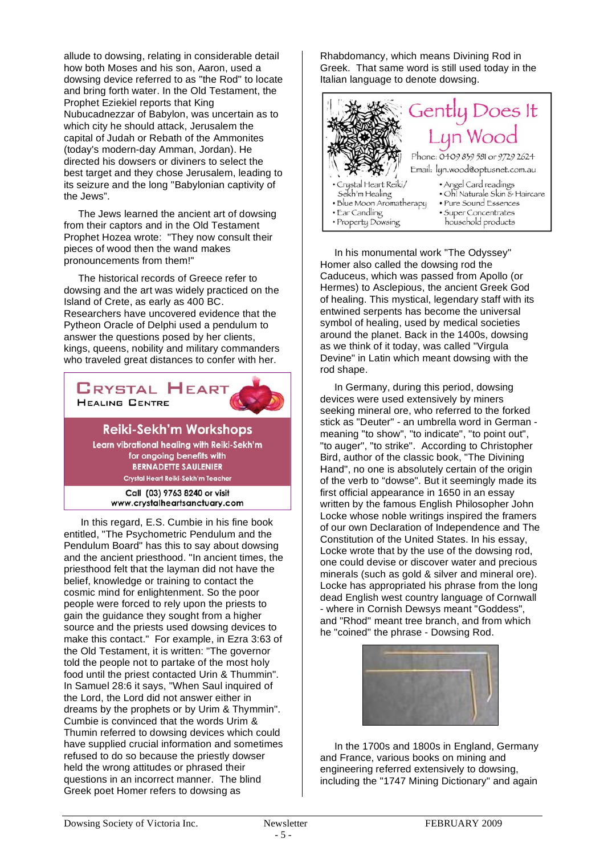allude to dowsing, relating in considerable detail how both Moses and his son, Aaron, used a dowsing device referred to as "the Rod" to locate and bring forth water. In the Old Testament, the Prophet Eziekiel reports that King Nubucadnezzar of Babylon, was uncertain as to which city he should attack, Jerusalem the capital of Judah or Rebath of the Ammonites (today's modern-day Amman, Jordan). He directed his dowsers or diviners to select the best target and they chose Jerusalem, leading to its seizure and the long "Babylonian captivity of the Jews".

The Jews learned the ancient art of dowsing from their captors and in the Old Testament Prophet Hozea wrote: "They now consult their pieces of wood then the wand makes pronouncements from them!"

The historical records of Greece refer to dowsing and the art was widely practiced on the Island of Crete, as early as 400 BC. Researchers have uncovered evidence that the Pytheon Oracle of Delphi used a pendulum to answer the questions posed by her clients, kings, queens, nobility and military commanders who traveled great distances to confer with her.



**BERNADETTE SAULENIER** Crystal Heart Reiki-Sekh'm Teacher

Call (03) 9763 8240 or visit www.crystalheartsanctuary.com

In this regard, E.S. Cumbie in his fine book entitled, "The Psychometric Pendulum and the Pendulum Board" has this to say about dowsing and the ancient priesthood. "In ancient times, the priesthood felt that the layman did not have the belief, knowledge or training to contact the cosmic mind for enlightenment. So the poor people were forced to rely upon the priests to gain the guidance they sought from a higher source and the priests used dowsing devices to make this contact." For example, in Ezra 3:63 of the Old Testament, it is written: "The governor told the people not to partake of the most holy food until the priest contacted Urin & Thummin". In Samuel 28:6 it says, "When Saul inquired of the Lord, the Lord did not answer either in dreams by the prophets or by Urim & Thymmin". Cumbie is convinced that the words Urim & Thumin referred to dowsing devices which could have supplied crucial information and sometimes refused to do so because the priestly dowser held the wrong attitudes or phrased their questions in an incorrect manner. The blind Greek poet Homer refers to dowsing as

Rhabdomancy, which means Divining Rod in Greek. That same word is still used today in the Italian language to denote dowsing.



In his monumental work "The Odyssey" Homer also called the dowsing rod the Caduceus, which was passed from Apollo (or Hermes) to Asclepious, the ancient Greek God of healing. This mystical, legendary staff with its entwined serpents has become the universal symbol of healing, used by medical societies around the planet. Back in the 1400s, dowsing as we think of it today, was called "Virgula Devine" in Latin which meant dowsing with the rod shape.

In Germany, during this period, dowsing devices were used extensively by miners seeking mineral ore, who referred to the forked stick as "Deuter" - an umbrella word in German meaning "to show", "to indicate", "to point out", "to auger", "to strike". According to Christopher Bird, author of the classic book, "The Divining Hand", no one is absolutely certain of the origin of the verb to "dowse". But it seemingly made its first official appearance in 1650 in an essay written by the famous English Philosopher John Locke whose noble writings inspired the framers of our own Declaration of Independence and The Constitution of the United States. In his essay, Locke wrote that by the use of the dowsing rod, one could devise or discover water and precious minerals (such as gold & silver and mineral ore). Locke has appropriated his phrase from the long dead English west country language of Cornwall - where in Cornish Dewsys meant "Goddess", and "Rhod" meant tree branch, and from which he "coined" the phrase - Dowsing Rod.



In the 1700s and 1800s in England, Germany and France, various books on mining and engineering referred extensively to dowsing, including the "1747 Mining Dictionary" and again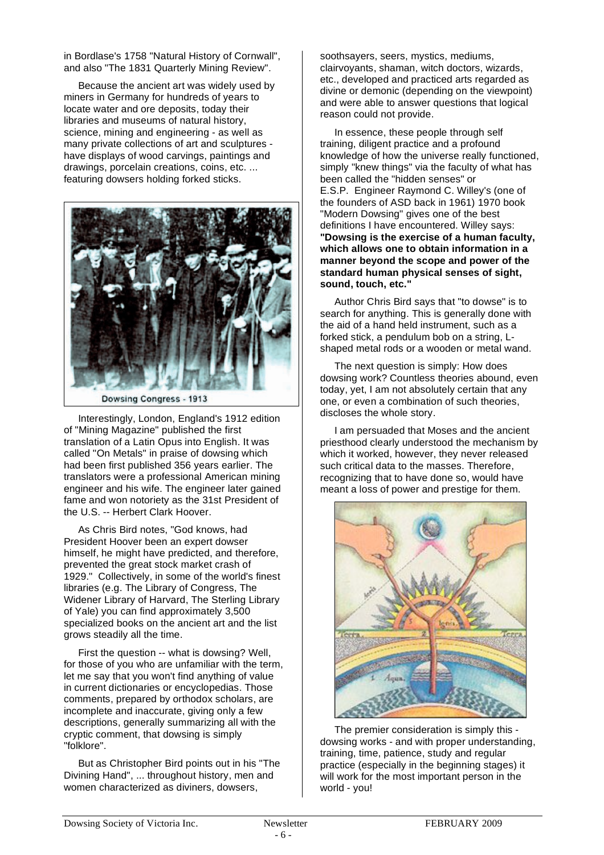in Bordlase's 1758 "Natural History of Cornwall", and also "The 1831 Quarterly Mining Review".

Because the ancient art was widely used by miners in Germany for hundreds of years to locate water and ore deposits, today their libraries and museums of natural history, science, mining and engineering - as well as many private collections of art and sculptures have displays of wood carvings, paintings and drawings, porcelain creations, coins, etc. ... featuring dowsers holding forked sticks.



Dowsing Congress - 1913

Interestingly, London, England's 1912 edition of "Mining Magazine" published the first translation of a Latin Opus into English. It was called "On Metals" in praise of dowsing which had been first published 356 years earlier. The translators were a professional American mining engineer and his wife. The engineer later gained fame and won notoriety as the 31st President of the U.S. -- Herbert Clark Hoover.

As Chris Bird notes, "God knows, had President Hoover been an expert dowser himself, he might have predicted, and therefore, prevented the great stock market crash of 1929." Collectively, in some of the world's finest libraries (e.g. The Library of Congress, The Widener Library of Harvard, The Sterling Library of Yale) you can find approximately 3,500 specialized books on the ancient art and the list grows steadily all the time.

First the question -- what is dowsing? Well, for those of you who are unfamiliar with the term, let me say that you won't find anything of value in current dictionaries or encyclopedias. Those comments, prepared by orthodox scholars, are incomplete and inaccurate, giving only a few descriptions, generally summarizing all with the cryptic comment, that dowsing is simply "folklore".

But as Christopher Bird points out in his "The Divining Hand", ... throughout history, men and women characterized as diviners, dowsers,

soothsayers, seers, mystics, mediums, clairvoyants, shaman, witch doctors, wizards, etc., developed and practiced arts regarded as divine or demonic (depending on the viewpoint) and were able to answer questions that logical reason could not provide.

In essence, these people through self training, diligent practice and a profound knowledge of how the universe really functioned, simply "knew things" via the faculty of what has been called the "hidden senses" or E.S.P. Engineer Raymond C. Willey's (one of the founders of ASD back in 1961) 1970 book "Modern Dowsing" gives one of the best definitions I have encountered. Willey says: **"Dowsing is the exercise of a human faculty, which allows one to obtain information in a manner beyond the scope and power of the standard human physical senses of sight, sound, touch, etc."**

Author Chris Bird says that "to dowse" is to search for anything. This is generally done with the aid of a hand held instrument, such as a forked stick, a pendulum bob on a string, Lshaped metal rods or a wooden or metal wand.

The next question is simply: How does dowsing work? Countless theories abound, even today, yet, I am not absolutely certain that any one, or even a combination of such theories, discloses the whole story.

I am persuaded that Moses and the ancient priesthood clearly understood the mechanism by which it worked, however, they never released such critical data to the masses. Therefore, recognizing that to have done so, would have meant a loss of power and prestige for them.



The premier consideration is simply this dowsing works - and with proper understanding, training, time, patience, study and regular practice (especially in the beginning stages) it will work for the most important person in the world - you!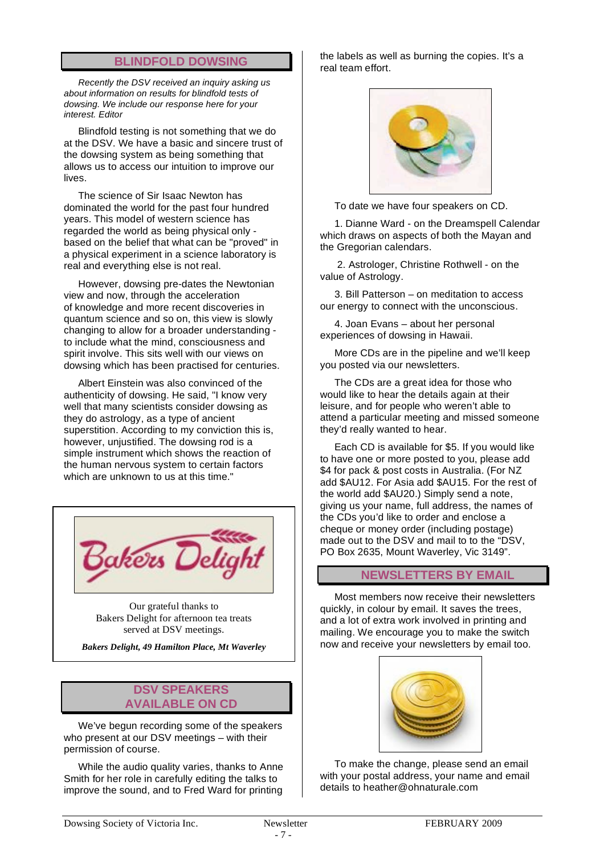#### **BLINDFOLD DOWSING**

*Recently the DSV received an inquiry asking us about information on results for blindfold tests of dowsing. We include our response here for your interest. Editor*

Blindfold testing is not something that we do at the DSV. We have a basic and sincere trust of the dowsing system as being something that allows us to access our intuition to improve our lives.

The science of Sir Isaac Newton has dominated the world for the past four hundred years. This model of western science has regarded the world as being physical only based on the belief that what can be "proved" in a physical experiment in a science laboratory is real and everything else is not real.

However, dowsing pre-dates the Newtonian view and now, through the acceleration of knowledge and more recent discoveries in quantum science and so on, this view is slowly changing to allow for a broader understanding to include what the mind, consciousness and spirit involve. This sits well with our views on dowsing which has been practised for centuries.

Albert Einstein was also convinced of the authenticity of dowsing. He said, "I know very well that many scientists consider dowsing as they do astrology, as a type of ancient superstition. According to my conviction this is, however, unjustified. The dowsing rod is a simple instrument which shows the reaction of the human nervous system to certain factors which are unknown to us at this time."



Our grateful thanks to Bakers Delight for afternoon tea treats served at DSV meetings.

*Bakers Delight, 49 Hamilton Place, Mt Waverley*

#### **DSV SPEAKERS AVAILABLE ON CD**

We've begun recording some of the speakers who present at our DSV meetings – with their permission of course.

While the audio quality varies, thanks to Anne Smith for her role in carefully editing the talks to improve the sound, and to Fred Ward for printing

the labels as well as burning the copies. It's a real team effort.



To date we have four speakers on CD.

1. Dianne Ward - on the Dreamspell Calendar which draws on aspects of both the Mayan and the Gregorian calendars.

2. Astrologer, Christine Rothwell - on the value of Astrology.

3. Bill Patterson – on meditation to access our energy to connect with the unconscious.

4. Joan Evans – about her personal experiences of dowsing in Hawaii.

More CDs are in the pipeline and we'll keep you posted via our newsletters.

The CDs are a great idea for those who would like to hear the details again at their leisure, and for people who weren't able to attend a particular meeting and missed someone they'd really wanted to hear.

Each CD is available for \$5. If you would like to have one or more posted to you, please add \$4 for pack & post costs in Australia. (For NZ add \$AU12. For Asia add \$AU15. For the rest of the world add \$AU20.) Simply send a note, giving us your name, full address, the names of the CDs you'd like to order and enclose a cheque or money order (including postage) made out to the DSV and mail to to the "DSV, PO Box 2635, Mount Waverley, Vic 3149".

#### **NEWSLETTERS BY EMAIL**

Most members now receive their newsletters quickly, in colour by email. It saves the trees, and a lot of extra work involved in printing and mailing. We encourage you to make the switch now and receive your newsletters by email too.



To make the change, please send an email with your postal address, your name and email details to heather@ohnaturale.com